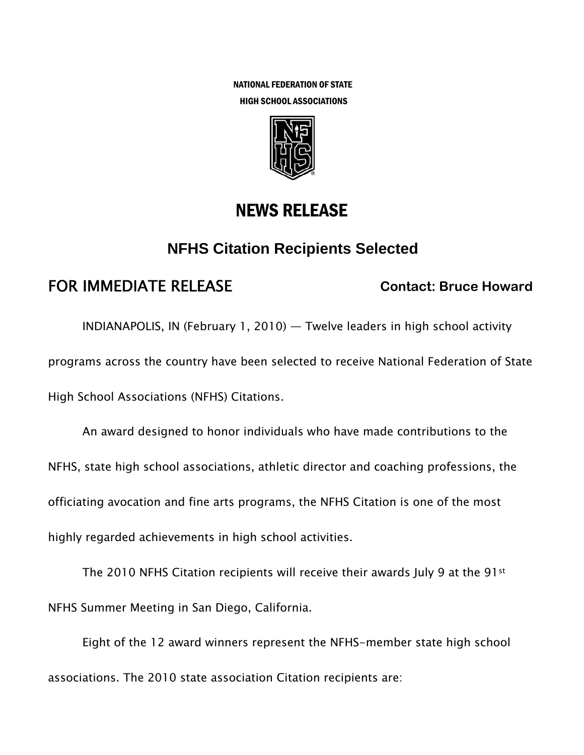NATIONAL FEDERATION OF STATE HIGH SCHOOL ASSOCIATIONS



# NEWS RELEASE

## **NFHS Citation Recipients Selected**

# FOR IMMEDIATE RELEASE **Contact: Bruce Howard**

INDIANAPOLIS, IN (February 1, 2010) — Twelve leaders in high school activity programs across the country have been selected to receive National Federation of State High School Associations (NFHS) Citations.

An award designed to honor individuals who have made contributions to the NFHS, state high school associations, athletic director and coaching professions, the officiating avocation and fine arts programs, the NFHS Citation is one of the most highly regarded achievements in high school activities.

The 2010 NFHS Citation recipients will receive their awards July 9 at the 91st NFHS Summer Meeting in San Diego, California.

Eight of the 12 award winners represent the NFHS-member state high school associations. The 2010 state association Citation recipients are: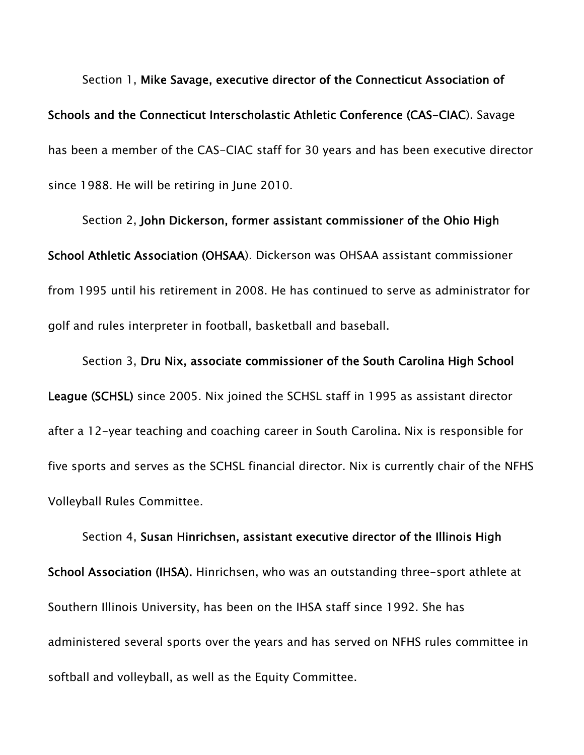Section 1, Mike Savage, executive director of the Connecticut Association of Schools and the Connecticut Interscholastic Athletic Conference (CAS-CIAC). Savage has been a member of the CAS-CIAC staff for 30 years and has been executive director since 1988. He will be retiring in June 2010.

Section 2, John Dickerson, former assistant commissioner of the Ohio High School Athletic Association (OHSAA). Dickerson was OHSAA assistant commissioner from 1995 until his retirement in 2008. He has continued to serve as administrator for golf and rules interpreter in football, basketball and baseball.

Section 3, Dru Nix, associate commissioner of the South Carolina High School League (SCHSL) since 2005. Nix joined the SCHSL staff in 1995 as assistant director after a 12-year teaching and coaching career in South Carolina. Nix is responsible for five sports and serves as the SCHSL financial director. Nix is currently chair of the NFHS Volleyball Rules Committee.

Section 4, Susan Hinrichsen, assistant executive director of the Illinois High School Association (IHSA). Hinrichsen, who was an outstanding three-sport athlete at Southern Illinois University, has been on the IHSA staff since 1992. She has administered several sports over the years and has served on NFHS rules committee in softball and volleyball, as well as the Equity Committee.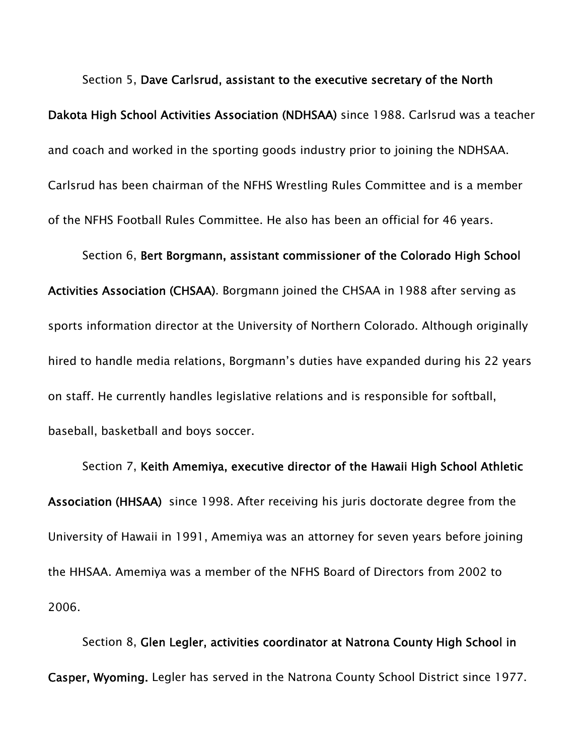Section 5, Dave Carlsrud, assistant to the executive secretary of the North Dakota High School Activities Association (NDHSAA) since 1988. Carlsrud was a teacher and coach and worked in the sporting goods industry prior to joining the NDHSAA. Carlsrud has been chairman of the NFHS Wrestling Rules Committee and is a member of the NFHS Football Rules Committee. He also has been an official for 46 years.

Section 6, Bert Borgmann, assistant commissioner of the Colorado High School Activities Association (CHSAA). Borgmann joined the CHSAA in 1988 after serving as sports information director at the University of Northern Colorado. Although originally hired to handle media relations, Borgmann's duties have expanded during his 22 years on staff. He currently handles legislative relations and is responsible for softball, baseball, basketball and boys soccer.

Section 7, Keith Amemiya, executive director of the Hawaii High School Athletic Association (HHSAA) since 1998. After receiving his juris doctorate degree from the University of Hawaii in 1991, Amemiya was an attorney for seven years before joining the HHSAA. Amemiya was a member of the NFHS Board of Directors from 2002 to 2006.

Section 8, Glen Legler, activities coordinator at Natrona County High School in Casper, Wyoming. Legler has served in the Natrona County School District since 1977.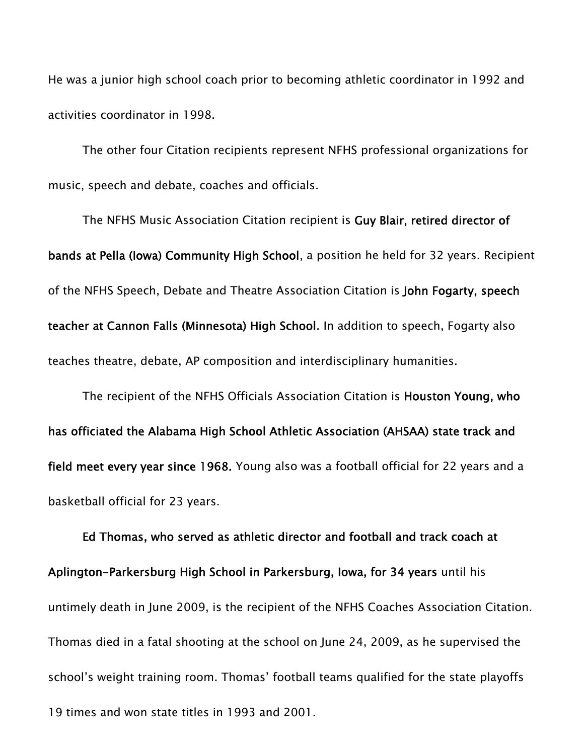He was a junior high school coach prior to becoming athletic coordinator in 1992 and activities coordinator in 1998.

The other four Citation recipients represent NFHS professional organizations for music, speech and debate, coaches and officials.

The NFHS Music Association Citation recipient is Guy Blair, retired director of bands at Pella (Iowa) Community High School, a position he held for 32 years. Recipient of the NFHS Speech, Debate and Theatre Association Citation is John Fogarty, speech teacher at Cannon Falls (Minnesota) High School. In addition to speech, Fogarty also teaches theatre, debate, AP composition and interdisciplinary humanities.

The recipient of the NFHS Officials Association Citation is Houston Young, who has officiated the Alabama High School Athletic Association (AHSAA) state track and field meet every year since 1968. Young also was a football official for 22 years and a basketball official for 23 years.

Ed Thomas, who served as athletic director and football and track coach at Aplington-Parkersburg High School in Parkersburg, Iowa, for 34 years until his untimely death in June 2009, is the recipient of the NFHS Coaches Association Citation. Thomas died in a fatal shooting at the school on June 24, 2009, as he supervised the school's weight training room. Thomas' football teams qualified for the state playoffs 19 times and won state titles in 1993 and 2001.